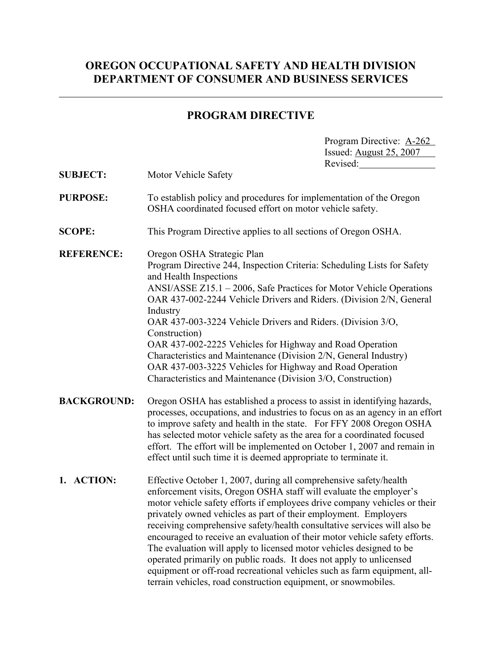## **OREGON OCCUPATIONAL SAFETY AND HEALTH DIVISION DEPARTMENT OF CONSUMER AND BUSINESS SERVICES**

## **PROGRAM DIRECTIVE**

|                    |                                                                                                                                                                                                                                                                                                                                                                                                                                                                                                                                                                                                                                                                                                                                               | Program Directive: A-262<br>Issued: August 25, 2007<br>Revised: |  |  |  |  |
|--------------------|-----------------------------------------------------------------------------------------------------------------------------------------------------------------------------------------------------------------------------------------------------------------------------------------------------------------------------------------------------------------------------------------------------------------------------------------------------------------------------------------------------------------------------------------------------------------------------------------------------------------------------------------------------------------------------------------------------------------------------------------------|-----------------------------------------------------------------|--|--|--|--|
| <b>SUBJECT:</b>    | Motor Vehicle Safety                                                                                                                                                                                                                                                                                                                                                                                                                                                                                                                                                                                                                                                                                                                          |                                                                 |  |  |  |  |
| <b>PURPOSE:</b>    | To establish policy and procedures for implementation of the Oregon<br>OSHA coordinated focused effort on motor vehicle safety.                                                                                                                                                                                                                                                                                                                                                                                                                                                                                                                                                                                                               |                                                                 |  |  |  |  |
| <b>SCOPE:</b>      | This Program Directive applies to all sections of Oregon OSHA.                                                                                                                                                                                                                                                                                                                                                                                                                                                                                                                                                                                                                                                                                |                                                                 |  |  |  |  |
| <b>REFERENCE:</b>  | Oregon OSHA Strategic Plan<br>Program Directive 244, Inspection Criteria: Scheduling Lists for Safety<br>and Health Inspections<br>ANSI/ASSE Z15.1 – 2006, Safe Practices for Motor Vehicle Operations<br>OAR 437-002-2244 Vehicle Drivers and Riders. (Division 2/N, General<br>Industry<br>OAR 437-003-3224 Vehicle Drivers and Riders. (Division 3/O,<br>Construction)<br>OAR 437-002-2225 Vehicles for Highway and Road Operation<br>Characteristics and Maintenance (Division 2/N, General Industry)<br>OAR 437-003-3225 Vehicles for Highway and Road Operation<br>Characteristics and Maintenance (Division 3/O, Construction)                                                                                                         |                                                                 |  |  |  |  |
| <b>BACKGROUND:</b> | Oregon OSHA has established a process to assist in identifying hazards,<br>processes, occupations, and industries to focus on as an agency in an effort<br>to improve safety and health in the state. For FFY 2008 Oregon OSHA<br>has selected motor vehicle safety as the area for a coordinated focused<br>effort. The effort will be implemented on October 1, 2007 and remain in<br>effect until such time it is deemed appropriate to terminate it.                                                                                                                                                                                                                                                                                      |                                                                 |  |  |  |  |
| 1. ACTION:         | Effective October 1, 2007, during all comprehensive safety/health<br>enforcement visits, Oregon OSHA staff will evaluate the employer's<br>motor vehicle safety efforts if employees drive company vehicles or their<br>privately owned vehicles as part of their employment. Employers<br>receiving comprehensive safety/health consultative services will also be<br>encouraged to receive an evaluation of their motor vehicle safety efforts.<br>The evaluation will apply to licensed motor vehicles designed to be<br>operated primarily on public roads. It does not apply to unlicensed<br>equipment or off-road recreational vehicles such as farm equipment, all-<br>terrain vehicles, road construction equipment, or snowmobiles. |                                                                 |  |  |  |  |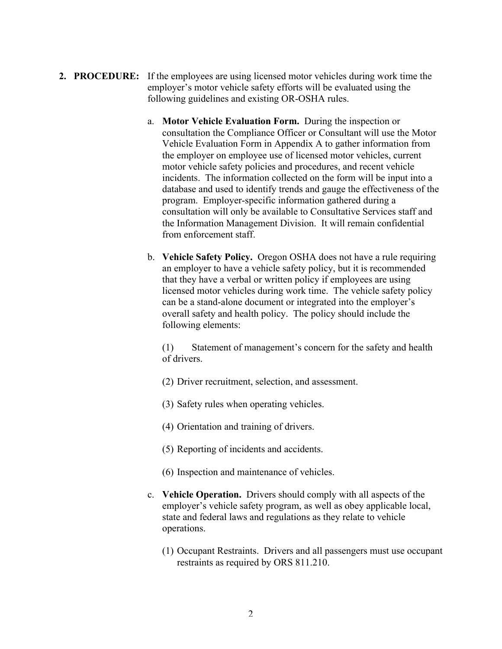- **2. PROCEDURE:** If the employees are using licensed motor vehicles during work time the employer's motor vehicle safety efforts will be evaluated using the following guidelines and existing OR-OSHA rules.
	- a. **Motor Vehicle Evaluation Form.** During the inspection or consultation the Compliance Officer or Consultant will use the Motor Vehicle Evaluation Form in Appendix A to gather information from the employer on employee use of licensed motor vehicles, current motor vehicle safety policies and procedures, and recent vehicle incidents. The information collected on the form will be input into a database and used to identify trends and gauge the effectiveness of the program. Employer-specific information gathered during a consultation will only be available to Consultative Services staff and the Information Management Division. It will remain confidential from enforcement staff.
	- b. **Vehicle Safety Policy.** Oregon OSHA does not have a rule requiring an employer to have a vehicle safety policy, but it is recommended that they have a verbal or written policy if employees are using licensed motor vehicles during work time. The vehicle safety policy can be a stand-alone document or integrated into the employer's overall safety and health policy. The policy should include the following elements:

(1) Statement of management's concern for the safety and health of drivers.

- (2) Driver recruitment, selection, and assessment.
- (3) Safety rules when operating vehicles.
- (4) Orientation and training of drivers.
- (5) Reporting of incidents and accidents.
- (6) Inspection and maintenance of vehicles.
- c. **Vehicle Operation.** Drivers should comply with all aspects of the employer's vehicle safety program, as well as obey applicable local, state and federal laws and regulations as they relate to vehicle operations.
	- (1) Occupant Restraints. Drivers and all passengers must use occupant restraints as required by ORS 811.210.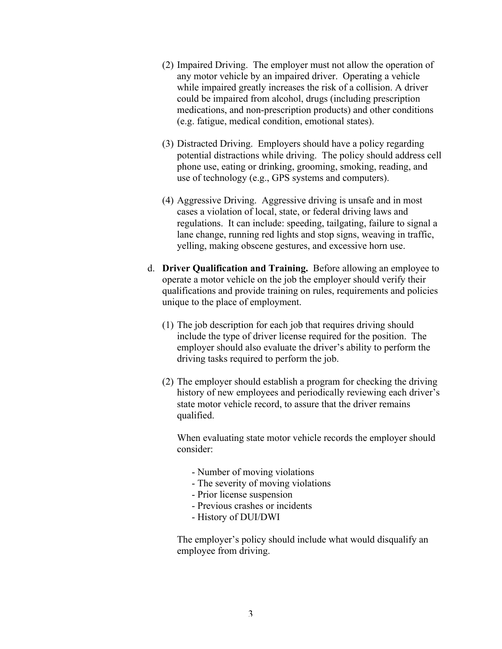- (2) Impaired Driving. The employer must not allow the operation of any motor vehicle by an impaired driver. Operating a vehicle while impaired greatly increases the risk of a collision. A driver could be impaired from alcohol, drugs (including prescription medications, and non-prescription products) and other conditions (e.g. fatigue, medical condition, emotional states).
- (3) Distracted Driving. Employers should have a policy regarding potential distractions while driving. The policy should address cell phone use, eating or drinking, grooming, smoking, reading, and use of technology (e.g., GPS systems and computers).
- (4) Aggressive Driving. Aggressive driving is unsafe and in most cases a violation of local, state, or federal driving laws and regulations. It can include: speeding, tailgating, failure to signal a lane change, running red lights and stop signs, weaving in traffic, yelling, making obscene gestures, and excessive horn use.
- d. **Driver Qualification and Training.** Before allowing an employee to operate a motor vehicle on the job the employer should verify their qualifications and provide training on rules, requirements and policies unique to the place of employment.
	- (1) The job description for each job that requires driving should include the type of driver license required for the position. The employer should also evaluate the driver's ability to perform the driving tasks required to perform the job.
	- (2) The employer should establish a program for checking the driving history of new employees and periodically reviewing each driver's state motor vehicle record, to assure that the driver remains qualified.

When evaluating state motor vehicle records the employer should consider:

- Number of moving violations
- The severity of moving violations
- Prior license suspension
- Previous crashes or incidents
- History of DUI/DWI

The employer's policy should include what would disqualify an employee from driving.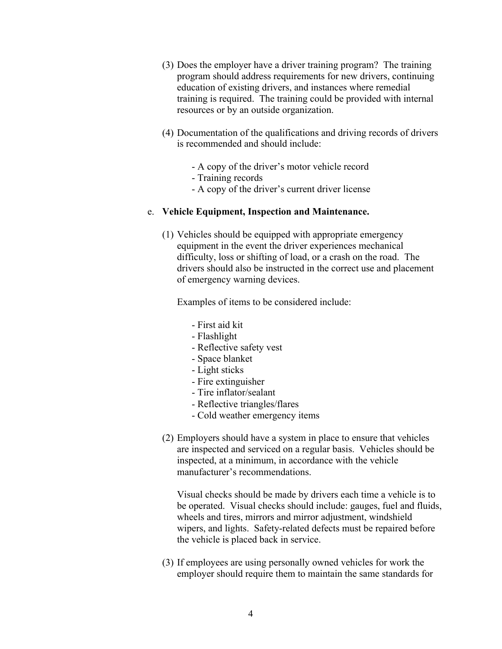- (3) Does the employer have a driver training program? The training program should address requirements for new drivers, continuing education of existing drivers, and instances where remedial training is required. The training could be provided with internal resources or by an outside organization.
- (4) Documentation of the qualifications and driving records of drivers is recommended and should include:
	- A copy of the driver's motor vehicle record
	- Training records
	- A copy of the driver's current driver license

## e. **Vehicle Equipment, Inspection and Maintenance.**

(1) Vehicles should be equipped with appropriate emergency equipment in the event the driver experiences mechanical difficulty, loss or shifting of load, or a crash on the road. The drivers should also be instructed in the correct use and placement of emergency warning devices.

Examples of items to be considered include:

- First aid kit
- Flashlight
- Reflective safety vest
- Space blanket
- Light sticks
- Fire extinguisher
- Tire inflator/sealant
- Reflective triangles/flares
- Cold weather emergency items
- (2) Employers should have a system in place to ensure that vehicles are inspected and serviced on a regular basis. Vehicles should be inspected, at a minimum, in accordance with the vehicle manufacturer's recommendations.

Visual checks should be made by drivers each time a vehicle is to be operated. Visual checks should include: gauges, fuel and fluids, wheels and tires, mirrors and mirror adjustment, windshield wipers, and lights. Safety-related defects must be repaired before the vehicle is placed back in service.

(3) If employees are using personally owned vehicles for work the employer should require them to maintain the same standards for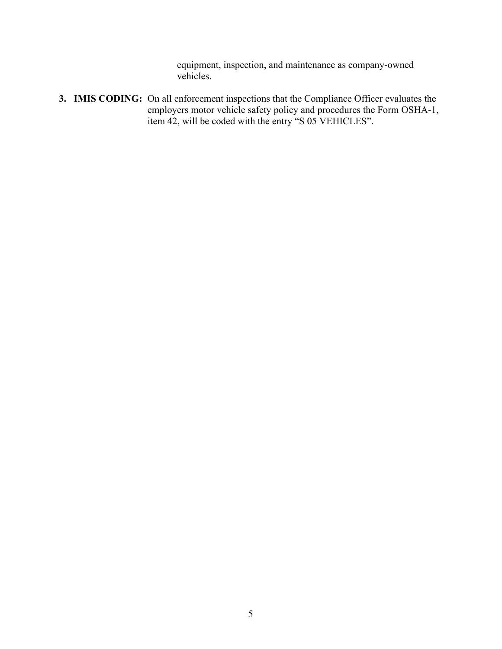equipment, inspection, and maintenance as company-owned vehicles.

**3. IMIS CODING:** On all enforcement inspections that the Compliance Officer evaluates the employers motor vehicle safety policy and procedures the Form OSHA-1, item 42, will be coded with the entry "S 05 VEHICLES".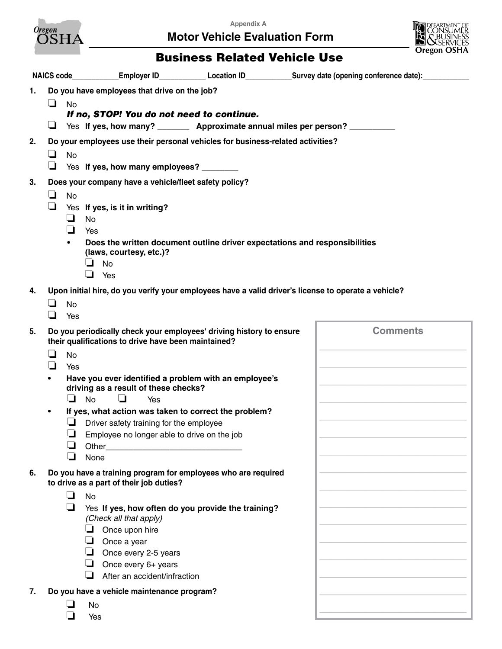**Appendix A**

Oregon<br>OSHA

**Motor Vehicle Evaluation Form**



## Business Related Vehicle Use

|    |                                                                                       |                                                                                |                                                                     | NAICS code ____________Employer ID________________Location ID_____________Survey date (opening conference date): ________ |                 |  |  |  |  |  |
|----|---------------------------------------------------------------------------------------|--------------------------------------------------------------------------------|---------------------------------------------------------------------|---------------------------------------------------------------------------------------------------------------------------|-----------------|--|--|--|--|--|
| 1. |                                                                                       | Do you have employees that drive on the job?                                   |                                                                     |                                                                                                                           |                 |  |  |  |  |  |
|    | ⊔<br><b>No</b>                                                                        |                                                                                |                                                                     |                                                                                                                           |                 |  |  |  |  |  |
|    |                                                                                       | If no, STOP! You do not need to continue.                                      |                                                                     |                                                                                                                           |                 |  |  |  |  |  |
|    | ⊔<br>Yes If yes, how many? __________ Approximate annual miles per person? __________ |                                                                                |                                                                     |                                                                                                                           |                 |  |  |  |  |  |
| 2. |                                                                                       | Do your employees use their personal vehicles for business-related activities? |                                                                     |                                                                                                                           |                 |  |  |  |  |  |
|    | $\Box$<br><b>No</b><br>⊔                                                              |                                                                                |                                                                     |                                                                                                                           |                 |  |  |  |  |  |
|    | Yes If yes, how many employees? ________                                              |                                                                                |                                                                     |                                                                                                                           |                 |  |  |  |  |  |
| 3. |                                                                                       | Does your company have a vehicle/fleet safety policy?                          |                                                                     |                                                                                                                           |                 |  |  |  |  |  |
|    | ❏<br>❏                                                                                | <b>No</b>                                                                      |                                                                     |                                                                                                                           |                 |  |  |  |  |  |
|    | ⊔<br>No                                                                               | Yes If yes, is it in writing?                                                  |                                                                     |                                                                                                                           |                 |  |  |  |  |  |
|    | $\Box$<br>Yes                                                                         |                                                                                |                                                                     |                                                                                                                           |                 |  |  |  |  |  |
|    |                                                                                       | Does the written document outline driver expectations and responsibilities     |                                                                     |                                                                                                                           |                 |  |  |  |  |  |
|    |                                                                                       | (laws, courtesy, etc.)?                                                        |                                                                     |                                                                                                                           |                 |  |  |  |  |  |
|    | ⊔<br>$\Box$                                                                           | <b>No</b><br>Yes                                                               |                                                                     |                                                                                                                           |                 |  |  |  |  |  |
|    |                                                                                       |                                                                                |                                                                     |                                                                                                                           |                 |  |  |  |  |  |
| 4. | ப                                                                                     |                                                                                |                                                                     | Upon initial hire, do you verify your employees have a valid driver's license to operate a vehicle?                       |                 |  |  |  |  |  |
|    | <b>No</b><br>❏<br>Yes                                                                 |                                                                                |                                                                     |                                                                                                                           |                 |  |  |  |  |  |
| 5. |                                                                                       |                                                                                |                                                                     |                                                                                                                           | <b>Comments</b> |  |  |  |  |  |
|    |                                                                                       | their qualifications to drive have been maintained?                            | Do you periodically check your employees' driving history to ensure |                                                                                                                           |                 |  |  |  |  |  |
|    | $\Box$<br><b>No</b>                                                                   |                                                                                |                                                                     |                                                                                                                           |                 |  |  |  |  |  |
|    | ⊔<br>Yes                                                                              |                                                                                |                                                                     |                                                                                                                           |                 |  |  |  |  |  |
|    |                                                                                       | Have you ever identified a problem with an employee's                          |                                                                     |                                                                                                                           |                 |  |  |  |  |  |
|    | $\Box$ No                                                                             | driving as a result of these checks?<br>Yes<br>⊔                               |                                                                     |                                                                                                                           |                 |  |  |  |  |  |
|    | $\bullet$                                                                             |                                                                                | If yes, what action was taken to correct the problem?               |                                                                                                                           |                 |  |  |  |  |  |
|    | ⊔                                                                                     | Driver safety training for the employee                                        |                                                                     |                                                                                                                           |                 |  |  |  |  |  |
|    |                                                                                       | Employee no longer able to drive on the job                                    |                                                                     |                                                                                                                           |                 |  |  |  |  |  |
|    | Other                                                                                 |                                                                                |                                                                     |                                                                                                                           |                 |  |  |  |  |  |
|    | None                                                                                  |                                                                                |                                                                     |                                                                                                                           |                 |  |  |  |  |  |
| 6. |                                                                                       | to drive as a part of their job duties?                                        | Do you have a training program for employees who are required       |                                                                                                                           |                 |  |  |  |  |  |
|    | ⊔<br>No                                                                               |                                                                                |                                                                     |                                                                                                                           |                 |  |  |  |  |  |
|    |                                                                                       |                                                                                | Yes If yes, how often do you provide the training?                  |                                                                                                                           |                 |  |  |  |  |  |
|    | ⊔                                                                                     | (Check all that apply)                                                         |                                                                     |                                                                                                                           |                 |  |  |  |  |  |
|    |                                                                                       | Once upon hire<br>Once a year                                                  |                                                                     |                                                                                                                           |                 |  |  |  |  |  |
|    |                                                                                       | Once every 2-5 years                                                           |                                                                     |                                                                                                                           |                 |  |  |  |  |  |
|    | ⊔                                                                                     | Once every 6+ years                                                            |                                                                     |                                                                                                                           |                 |  |  |  |  |  |
|    | ப                                                                                     | After an accident/infraction                                                   |                                                                     |                                                                                                                           |                 |  |  |  |  |  |
| 7. |                                                                                       | Do you have a vehicle maintenance program?                                     |                                                                     |                                                                                                                           |                 |  |  |  |  |  |
|    | No                                                                                    |                                                                                |                                                                     |                                                                                                                           |                 |  |  |  |  |  |
|    | Yes                                                                                   |                                                                                |                                                                     |                                                                                                                           |                 |  |  |  |  |  |